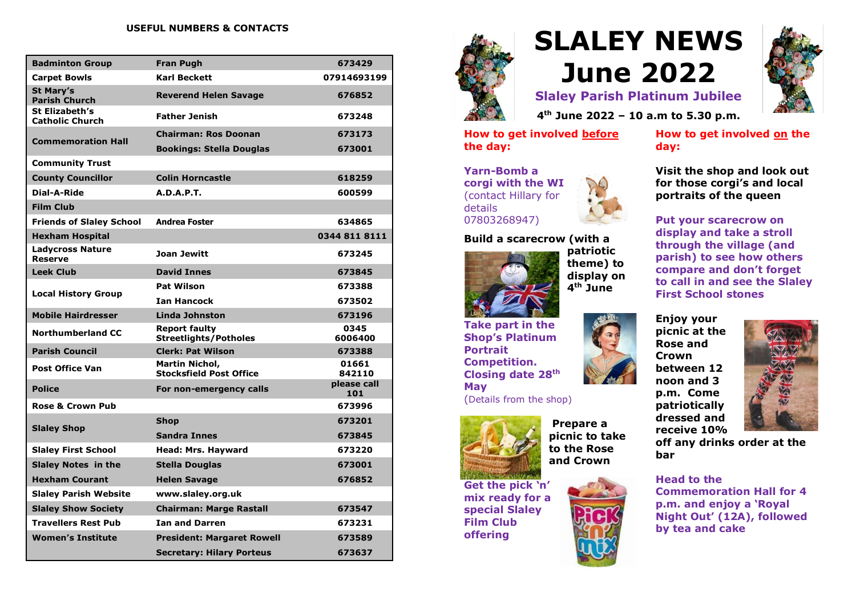#### **USEFUL NUMBERS & CONTACTS**

| <b>Badminton Group</b>                    | <b>Fran Pugh</b>                                        | 673429             |
|-------------------------------------------|---------------------------------------------------------|--------------------|
| <b>Carpet Bowls</b>                       | <b>Karl Beckett</b>                                     | 07914693199        |
| <b>St Mary's</b><br><b>Parish Church</b>  | <b>Reverend Helen Savage</b>                            | 676852             |
| St Elizabeth's<br><b>Catholic Church</b>  | <b>Father Jenish</b>                                    | 673248             |
| <b>Commemoration Hall</b>                 | <b>Chairman: Ros Doonan</b>                             | 673173             |
|                                           | <b>Bookings: Stella Douglas</b>                         | 673001             |
| <b>Community Trust</b>                    |                                                         |                    |
| <b>County Councillor</b>                  | <b>Colin Horncastle</b>                                 | 618259             |
| Dial-A-Ride                               | <b>A.D.A.P.T.</b>                                       | 600599             |
| <b>Film Club</b>                          |                                                         |                    |
| <b>Friends of Slaley School</b>           | <b>Andrea Foster</b>                                    | 634865             |
| <b>Hexham Hospital</b>                    |                                                         | 0344 811 8111      |
| <b>Ladycross Nature</b><br><b>Reserve</b> | <b>Joan Jewitt</b>                                      | 673245             |
| <b>Leek Club</b>                          | <b>David Innes</b>                                      | 673845             |
| <b>Local History Group</b>                | <b>Pat Wilson</b>                                       | 673388             |
|                                           | <b>Ian Hancock</b>                                      | 673502             |
| <b>Mobile Hairdresser</b>                 | <b>Linda Johnston</b>                                   | 673196             |
| <b>Northumberland CC</b>                  | <b>Report faulty</b><br>Streetlights/Potholes           | 0345<br>6006400    |
| <b>Parish Council</b>                     | <b>Clerk: Pat Wilson</b>                                | 673388             |
| <b>Post Office Van</b>                    | <b>Martin Nichol,</b><br><b>Stocksfield Post Office</b> | 01661<br>842110    |
| <b>Police</b>                             | For non-emergency calls                                 | please call<br>101 |
| <b>Rose &amp; Crown Pub</b>               |                                                         | 673996             |
| <b>Slaley Shop</b>                        | <b>Shop</b>                                             | 673201             |
|                                           | <b>Sandra Innes</b>                                     | 673845             |
| <b>Slaley First School</b>                | Head: Mrs. Hayward                                      | 673220             |
| <b>Slaley Notes in the</b>                | <b>Stella Douglas</b>                                   | 673001             |
| <b>Hexham Courant</b>                     | <b>Helen Savage</b>                                     | 676852             |
| <b>Slaley Parish Website</b>              | www.slaley.org.uk                                       |                    |
| <b>Slaley Show Society</b>                | <b>Chairman: Marge Rastall</b>                          | 673547             |
| <b>Travellers Rest Pub</b>                | <b>Ian and Darren</b>                                   | 673231             |
| <b>Women's Institute</b>                  | <b>President: Margaret Rowell</b>                       | 673589             |
|                                           | <b>Secretary: Hilary Porteus</b>                        | 673637             |



**Yarn-Bomb a corgi with the WI** (contact Hillary for

07803268947)

details

# **SLALEY NEWS June 2022**



**Slaley Parish Platinum Jubilee 4 th June 2022 – 10 a.m to 5.30 p.m.**

**How to get involved before the day:**

**How to get involved on the day:**

**Visit the shop and look out for those corgi's and local portraits of the queen**

**Put your scarecrow on display and take a stroll through the village (and parish) to see how others compare and don't forget to call in and see the Slaley First School stones**



**off any drinks order at the bar**

**Head to the Commemoration Hall for 4 p.m. and enjoy a 'Royal Night Out' (12A), followed by tea and cake**



**Build a scarecrow (with a** 

**patriotic theme) to display on 4 th June**

**Take part in the Shop's Platinum Portrait Competition. Closing date 28th May** (Details from the shop)



**Get the pick 'n' mix ready for a special Slaley Film Club offering**



**Prepare a** 

**to the Rose**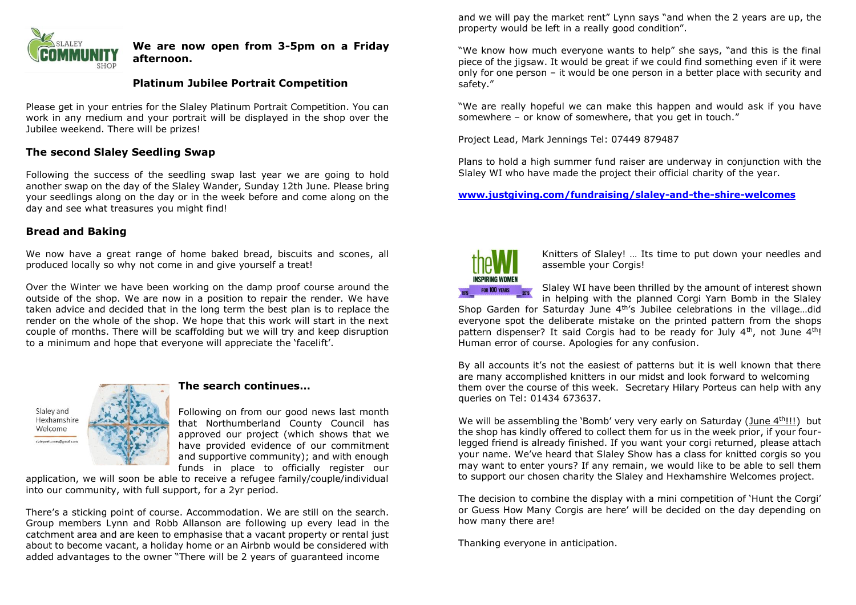

#### **We are now open from 3-5pm on a Friday afternoon.**

### **Platinum Jubilee Portrait Competition**

Please get in your entries for the Slaley Platinum Portrait Competition. You can work in any medium and your portrait will be displayed in the shop over the Jubilee weekend. There will be prizes!

## **The second Slaley Seedling Swap**

Following the success of the seedling swap last year we are going to hold another swap on the day of the Slaley Wander, Sunday 12th June. Please bring your seedlings along on the day or in the week before and come along on the day and see what treasures you might find!

#### **Bread and Baking**

We now have a great range of home baked bread, biscuits and scones, all produced locally so why not come in and give yourself a treat!

Over the Winter we have been working on the damp proof course around the outside of the shop. We are now in a position to repair the render. We have taken advice and decided that in the long term the best plan is to replace the render on the whole of the shop. We hope that this work will start in the next couple of months. There will be scaffolding but we will try and keep disruption to a minimum and hope that everyone will appreciate the 'facelift'.



#### **The search continues…**

Following on from our good news last month that Northumberland County Council has approved our project (which shows that we have provided evidence of our commitment and supportive community); and with enough funds in place to officially register our

application, we will soon be able to receive a refugee family/couple/individual into our community, with full support, for a 2yr period.

There's a sticking point of course. Accommodation. We are still on the search. Group members Lynn and Robb Allanson are following up every lead in the catchment area and are keen to emphasise that a vacant property or rental just about to become vacant, a holiday home or an Airbnb would be considered with added advantages to the owner "There will be 2 years of guaranteed income

and we will pay the market rent" Lynn says "and when the 2 years are up, the property would be left in a really good condition".

"We know how much everyone wants to help" she says, "and this is the final piece of the jigsaw. It would be great if we could find something even if it were only for one person – it would be one person in a better place with security and safety."

"We are really hopeful we can make this happen and would ask if you have somewhere – or know of somewhere, that you get in touch."

Project Lead, Mark Jennings Tel: 07449 879487

Plans to hold a high summer fund raiser are underway in conjunction with the Slaley WI who have made the project their official charity of the year.

**[www.justgiving.com/fundraising/slaley-and-the-shire-welcomes](http://www.justgiving.com/fundraising/slaley-and-the-shire-welcomes)**



Knitters of Slaley! … Its time to put down your needles and assemble your Corgis!

Slaley WI have been thrilled by the amount of interest shown in helping with the planned Corgi Yarn Bomb in the Slaley

Shop Garden for Saturday June 4th's Jubilee celebrations in the village…did everyone spot the deliberate mistake on the printed pattern from the shops pattern dispenser? It said Corgis had to be ready for July  $4<sup>th</sup>$ , not June  $4<sup>th</sup>$ ! Human error of course. Apologies for any confusion.

By all accounts it's not the easiest of patterns but it is well known that there are many accomplished knitters in our midst and look forward to welcoming them over the course of this week. Secretary Hilary Porteus can help with any queries on Tel: 01434 673637.

We will be assembling the 'Bomb' very very early on Saturday (June 4th!!!) but the shop has kindly offered to collect them for us in the week prior, if your fourlegged friend is already finished. If you want your corgi returned, please attach your name. We've heard that Slaley Show has a class for knitted corgis so you may want to enter yours? If any remain, we would like to be able to sell them to support our chosen charity the Slaley and Hexhamshire Welcomes project.

The decision to combine the display with a mini competition of 'Hunt the Corgi' or Guess How Many Corgis are here' will be decided on the day depending on how many there are!

Thanking everyone in anticipation.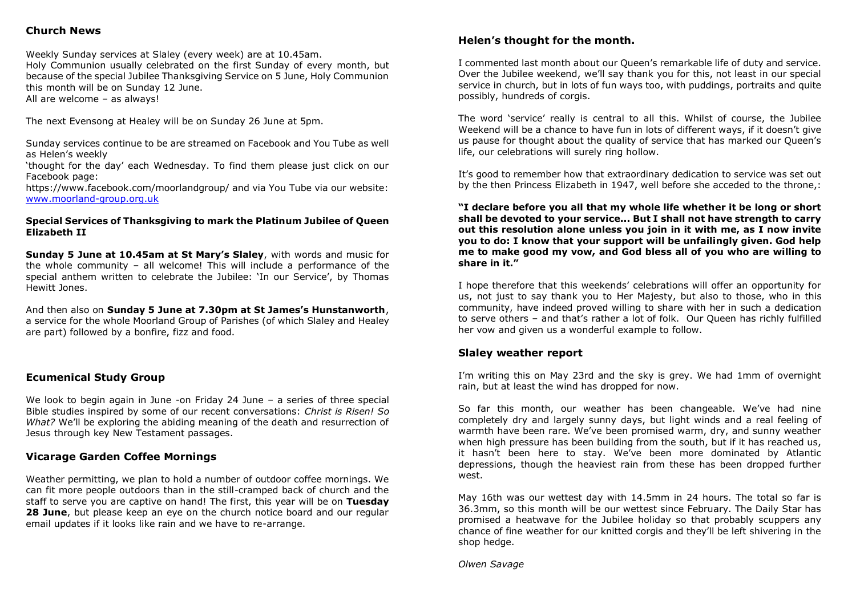# **Church News**

Weekly Sunday services at Slaley (every week) are at 10.45am. Holy Communion usually celebrated on the first Sunday of every month, but because of the special Jubilee Thanksgiving Service on 5 June, Holy Communion this month will be on Sunday 12 June. All are welcome – as always!

The next Evensong at Healey will be on Sunday 26 June at 5pm.

Sunday services continue to be are streamed on Facebook and You Tube as well as Helen's weekly

'thought for the day' each Wednesday. To find them please just click on our Facebook page:

https://www.facebook.com/moorlandgroup/ and via You Tube via our website: [www.moorland-group.org.uk](http://www.moorland-group.org.uk/)

#### **Special Services of Thanksgiving to mark the Platinum Jubilee of Queen Elizabeth II**

**Sunday 5 June at 10.45am at St Mary's Slaley**, with words and music for the whole community – all welcome! This will include a performance of the special anthem written to celebrate the Jubilee: 'In our Service', by Thomas Hewitt Jones.

And then also on **Sunday 5 June at 7.30pm at St James's Hunstanworth**, a service for the whole Moorland Group of Parishes (of which Slaley and Healey are part) followed by a bonfire, fizz and food.

#### **Ecumenical Study Group**

We look to begin again in June -on Friday 24 June - a series of three special Bible studies inspired by some of our recent conversations: *Christ is Risen! So What?* We'll be exploring the abiding meaning of the death and resurrection of Jesus through key New Testament passages.

#### **Vicarage Garden Coffee Mornings**

Weather permitting, we plan to hold a number of outdoor coffee mornings. We can fit more people outdoors than in the still-cramped back of church and the staff to serve you are captive on hand! The first, this year will be on **Tuesday 28 June**, but please keep an eye on the church notice board and our regular email updates if it looks like rain and we have to re-arrange.

#### **Helen's thought for the month.**

I commented last month about our Queen's remarkable life of duty and service. Over the Jubilee weekend, we'll say thank you for this, not least in our special service in church, but in lots of fun ways too, with puddings, portraits and quite possibly, hundreds of corgis.

The word 'service' really is central to all this. Whilst of course, the Jubilee Weekend will be a chance to have fun in lots of different ways, if it doesn't give us pause for thought about the quality of service that has marked our Queen's life, our celebrations will surely ring hollow.

It's good to remember how that extraordinary dedication to service was set out by the then Princess Elizabeth in 1947, well before she acceded to the throne,:

**"I declare before you all that my whole life whether it be long or short shall be devoted to your service... But I shall not have strength to carry out this resolution alone unless you join in it with me, as I now invite you to do: I know that your support will be unfailingly given. God help me to make good my vow, and God bless all of you who are willing to share in it."**

I hope therefore that this weekends' celebrations will offer an opportunity for us, not just to say thank you to Her Majesty, but also to those, who in this community, have indeed proved willing to share with her in such a dedication to serve others – and that's rather a lot of folk. Our Queen has richly fulfilled her vow and given us a wonderful example to follow.

#### **Slaley weather report**

I'm writing this on May 23rd and the sky is grey. We had 1mm of overnight rain, but at least the wind has dropped for now.

So far this month, our weather has been changeable. We've had nine completely dry and largely sunny days, but light winds and a real feeling of warmth have been rare. We've been promised warm, dry, and sunny weather when high pressure has been building from the south, but if it has reached us, it hasn't been here to stay. We've been more dominated by Atlantic depressions, though the heaviest rain from these has been dropped further west.

May 16th was our wettest day with 14.5mm in 24 hours. The total so far is 36.3mm, so this month will be our wettest since February. The Daily Star has promised a heatwave for the Jubilee holiday so that probably scuppers any chance of fine weather for our knitted corgis and they'll be left shivering in the shop hedge.

*Olwen Savage*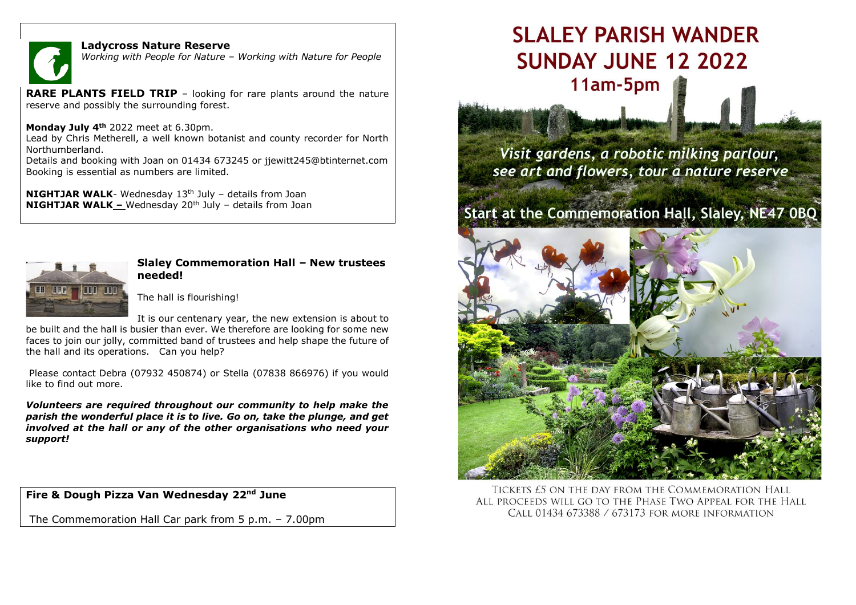

#### **Ladycross Nature Reserve**

*Working with People for Nature – Working with Nature for People*

**RARE PLANTS FIELD TRIP** - looking for rare plants around the nature reserve and possibly the surrounding forest.

#### **Monday July 4th** 2022 meet at 6.30pm.

Lead by Chris Metherell, a well known botanist and county recorder for North Northumberland.

Details and booking with Joan on 01434 673245 or jjewitt245@btinternet.com Booking is essential as numbers are limited.

**NIGHTJAR WALK**- Wednesday 13<sup>th</sup> July – details from Joan **NIGHTJAR WALK –** Wednesday 20<sup>th</sup> July – details from Joan



### **Slaley Commemoration Hall – New trustees needed!**

The hall is flourishing!

It is our centenary year, the new extension is about to be built and the hall is busier than ever. We therefore are looking for some new faces to join our jolly, committed band of trustees and help shape the future of the hall and its operations. Can you help?

Please contact Debra (07932 450874) or Stella (07838 866976) if you would like to find out more.

*Volunteers are required throughout our community to help make the parish the wonderful place it is to live. Go on, take the plunge, and get involved at the hall or any of the other organisations who need your support!* 

**Fire & Dough Pizza Van Wednesday 22nd June**

The Commemoration Hall Car park from 5 p.m. – 7.00pm

# SI ALEY PARISH WANDER **SUNDAY JUNE 12 2022** 11am-5pm

Visit gardens, a robotic milking parlour, see art and flowers, tour a nature reserve

# Start at the Commemoration Hall, Slaley, NE47 0BQ



TICKETS £5 ON THE DAY FROM THE COMMEMORATION HALL ALL PROCEEDS WILL GO TO THE PHASE TWO APPEAL FOR THE HALL CALL 01434 673388 / 673173 FOR MORE INFORMATION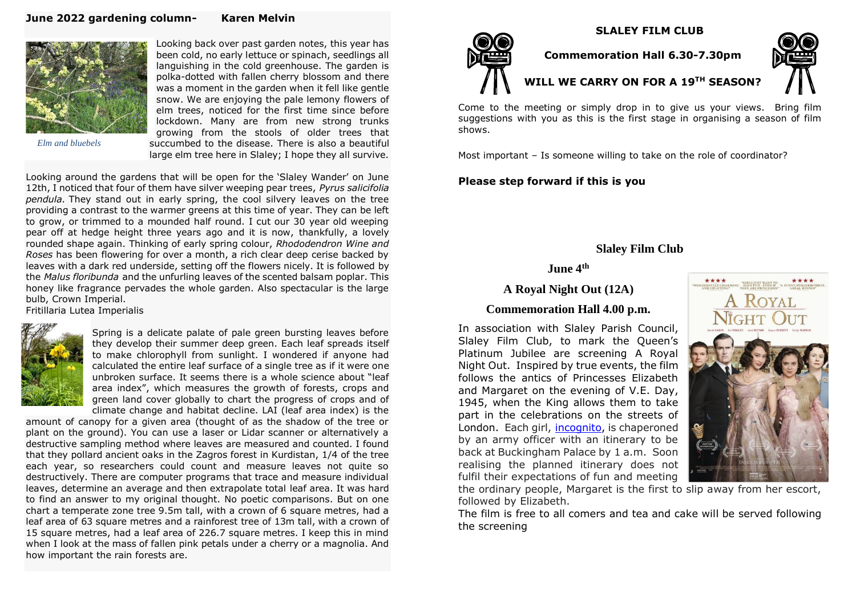#### **June 2022 gardening column- Karen Melvin**



Looking back over past garden notes, this year has been cold, no early lettuce or spinach, seedlings all languishing in the cold greenhouse. The garden is polka-dotted with fallen cherry blossom and there was a moment in the garden when it fell like gentle snow. We are enjoying the pale lemony flowers of elm trees, noticed for the first time since before lockdown. Many are from new strong trunks growing from the stools of older trees that succumbed to the disease. There is also a beautiful large elm tree here in Slaley; I hope they all survive.

 *Elm and bluebels*

Looking around the gardens that will be open for the 'Slaley Wander' on June 12th, I noticed that four of them have silver weeping pear trees, *Pyrus salicifolia pendula.* They stand out in early spring, the cool silvery leaves on the tree providing a contrast to the warmer greens at this time of year. They can be left to grow, or trimmed to a mounded half round. I cut our 30 year old weeping pear off at hedge height three years ago and it is now, thankfully, a lovely rounded shape again. Thinking of early spring colour, *Rhododendron Wine and Roses* has been flowering for over a month, a rich clear deep cerise backed by leaves with a dark red underside, setting off the flowers nicely. It is followed by the *Malus floribunda* and the unfurling leaves of the scented balsam poplar. This honey like fragrance pervades the whole garden. Also spectacular is the large bulb, Crown Imperial.

Fritillaria Lutea Imperialis



Spring is a delicate palate of pale green bursting leaves before they develop their summer deep green. Each leaf spreads itself to make chlorophyll from sunlight. I wondered if anyone had calculated the entire leaf surface of a single tree as if it were one unbroken surface. It seems there is a whole science about "leaf area index", which measures the growth of forests, crops and green land cover globally to chart the progress of crops and of climate change and habitat decline. LAI (leaf area index) is the

amount of canopy for a given area (thought of as the shadow of the tree or plant on the ground). You can use a laser or Lidar scanner or alternatively a destructive sampling method where leaves are measured and counted. I found that they pollard ancient oaks in the Zagros forest in Kurdistan, 1/4 of the tree each year, so researchers could count and measure leaves not quite so destructively. There are computer programs that trace and measure individual leaves, determine an average and then extrapolate total leaf area. It was hard to find an answer to my original thought. No poetic comparisons. But on one chart a temperate zone tree 9.5m tall, with a crown of 6 square metres, had a leaf area of 63 square metres and a rainforest tree of 13m tall, with a crown of 15 square metres, had a leaf area of 226.7 square metres. I keep this in mind when I look at the mass of fallen pink petals under a cherry or a magnolia. And how important the rain forests are.



**Commemoration Hall 6.30-7.30pm**

 **SLALEY FILM CLUB**

# **WILL WE CARRY ON FOR A 19TH SEASON?**



Come to the meeting or simply drop in to give us your views. Bring film suggestions with you as this is the first stage in organising a season of film shows.

Most important – Is someone willing to take on the role of coordinator?

#### **Please step forward if this is you**

# **Slaley Film Club**

## **June 4th**

# **A Royal Night Out (12A)**

#### **Commemoration Hall 4.00 p.m.**

In association with Slaley Parish Council, Slaley Film Club, to mark the Queen's Platinum Jubilee are screening A Royal Night Out. Inspired by true events, the film follows the antics of Princesses Elizabeth and Margaret on the evening of V.E. Day, 1945, when the King allows them to take part in the celebrations on the streets of London. Each girl, [incognito,](https://en.wikipedia.org/wiki/Anonymity) is chaperoned by an army officer with an itinerary to be back at Buckingham Palace by 1 a.m. Soon realising the planned itinerary does not fulfil their expectations of fun and meeting



the ordinary people, Margaret is the first to slip away from her escort, followed by Elizabeth.

The film is free to all comers and tea and cake will be served following the screening